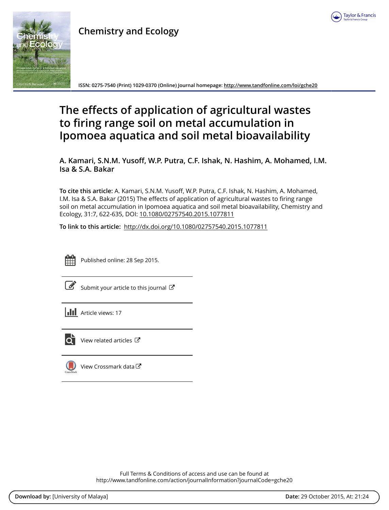

# **Chemistry and Ecology**



**ISSN: 0275-7540 (Print) 1029-0370 (Online) Journal homepage:<http://www.tandfonline.com/loi/gche20>**

# **The effects of application of agricultural wastes to firing range soil on metal accumulation in Ipomoea aquatica and soil metal bioavailability**

**A. Kamari, S.N.M. Yusoff, W.P. Putra, C.F. Ishak, N. Hashim, A. Mohamed, I.M. Isa & S.A. Bakar**

**To cite this article:** A. Kamari, S.N.M. Yusoff, W.P. Putra, C.F. Ishak, N. Hashim, A. Mohamed, I.M. Isa & S.A. Bakar (2015) The effects of application of agricultural wastes to firing range soil on metal accumulation in Ipomoea aquatica and soil metal bioavailability, Chemistry and Ecology, 31:7, 622-635, DOI: [10.1080/02757540.2015.1077811](http://www.tandfonline.com/action/showCitFormats?doi=10.1080/02757540.2015.1077811)

**To link to this article:** <http://dx.doi.org/10.1080/02757540.2015.1077811>



Published online: 28 Sep 2015.

[Submit your article to this journal](http://www.tandfonline.com/action/authorSubmission?journalCode=gche20&page=instructions)  $\mathbb{Z}$ 

**Article views: 17** 



 $\overline{\mathbf{Q}}$  [View related articles](http://www.tandfonline.com/doi/mlt/10.1080/02757540.2015.1077811)  $\mathbf{C}$ 

 $\bigcirc$  [View Crossmark data](http://crossmark.crossref.org/dialog/?doi=10.1080/02757540.2015.1077811&domain=pdf&date_stamp=2015-09-28) $\mathbb{Z}$ 

Full Terms & Conditions of access and use can be found at <http://www.tandfonline.com/action/journalInformation?journalCode=gche20>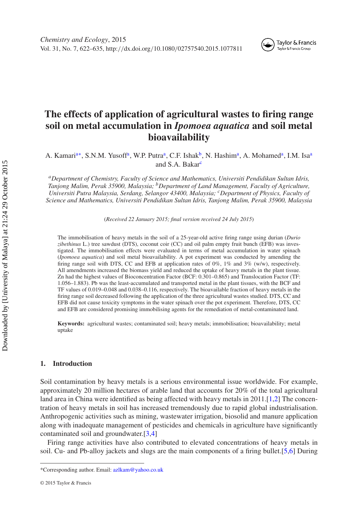#### Taylor & Francis Taylor & Francis Group

# **The effects of application of agricultural wastes to firing range soil on metal accumulation in** *Ipomoea aquatica* **and soil metal bioavailability**

A. Kamari<sup>a[∗](#page-1-1)</sup>, S.N.M. Yusoff<sup>[a](#page-1-0)</sup>, W.P. Putra<sup>a</sup>, C.F. Ishak<sup>b</sup>, N. Hashim<sup>a</sup>, A. Mohamed<sup>a</sup>, I.M. Isa<sup>a</sup> and S.A. Bakar<sup>[c](#page-1-3)</sup>

<span id="page-1-0"></span>*aDepartment of Chemistry, Faculty of Science and Mathematics, Universiti Pendidikan Sultan Idris, Tanjong Malim, Perak 35900, Malaysia; bDepartment of Land Management, Faculty of Agriculture, Universiti Putra Malaysia, Serdang, Selangor 43400, Malaysia; cDepartment of Physics, Faculty of Science and Mathematics, Universiti Pendidikan Sultan Idris, Tanjong Malim, Perak 35900, Malaysia*

<span id="page-1-3"></span><span id="page-1-2"></span>(*Received 22 January 2015; final version received 24 July 2015*)

The immobilisation of heavy metals in the soil of a 25-year-old active firing range using durian (*Durio zibethinus* L.) tree sawdust (DTS), coconut coir (CC) and oil palm empty fruit bunch (EFB) was investigated. The immobilisation effects were evaluated in terms of metal accumulation in water spinach (*Ipomoea aquatica*) and soil metal bioavailability. A pot experiment was conducted by amending the firing range soil with DTS, CC and EFB at application rates of 0%, 1% and 3% (w/w), respectively. All amendments increased the biomass yield and reduced the uptake of heavy metals in the plant tissue. Zn had the highest values of Bioconcentration Factor (BCF: 0.301–0.865) and Translocation Factor (TF: 1.056–1.883). Pb was the least-accumulated and transported metal in the plant tissues, with the BCF and TF values of 0.019–0.048 and 0.038–0.116, respectively. The bioavailable fraction of heavy metals in the firing range soil decreased following the application of the three agricultural wastes studied. DTS, CC and EFB did not cause toxicity symptoms in the water spinach over the pot experiment. Therefore, DTS, CC and EFB are considered promising immobilising agents for the remediation of metal-contaminated land.

**Keywords:** agricultural wastes; contaminated soil; heavy metals; immobilisation; bioavailability; metal uptake

# **1. Introduction**

Soil contamination by heavy metals is a serious environmental issue worldwide. For example, approximately 20 million hectares of arable land that accounts for 20% of the total agricultural land area in China were identified as being affected with heavy metals in 2011.[\[1](#page-12-0)[,2](#page-13-0)] The concentration of heavy metals in soil has increased tremendously due to rapid global industrialisation. Anthropogenic activities such as mining, wastewater irrigation, biosolid and manure application along with inadequate management of pesticides and chemicals in agriculture have significantly contaminated soil and groundwater.[\[3](#page-13-1)[,4](#page-13-2)]

Firing range activities have also contributed to elevated concentrations of heavy metals in soil. Cu- and Pb-alloy jackets and slugs are the main components of a firing bullet.[\[5](#page-13-3)[,6\]](#page-13-4) During

<span id="page-1-1"></span><sup>\*</sup>Corresponding author. Email: [azlkam@yahoo.co.uk](mailto:azlkam@yahoo.co.uk)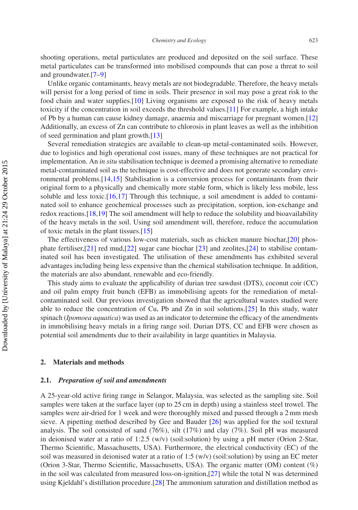shooting operations, metal particulates are produced and deposited on the soil surface. These metal particulates can be transformed into mobilised compounds that can pose a threat to soil and groundwater.[\[7](#page-13-5)[–9](#page-13-6)]

Unlike organic contaminants, heavy metals are not biodegradable. Therefore, the heavy metals will persist for a long period of time in soils. Their presence in soil may pose a great risk to the food chain and water supplies.[\[10\]](#page-13-7) Living organisms are exposed to the risk of heavy metals toxicity if the concentration in soil exceeds the threshold values.[\[11\]](#page-13-8) For example, a high intake of Pb by a human can cause kidney damage, anaemia and miscarriage for pregnant women.[\[12](#page-13-9)] Additionally, an excess of Zn can contribute to chlorosis in plant leaves as well as the inhibition of seed germination and plant growth.[\[13\]](#page-13-10)

Several remediation strategies are available to clean-up metal-contaminated soils. However, due to logistics and high operational cost issues, many of these techniques are not practical for implementation. An *in situ* stabilisation technique is deemed a promising alternative to remediate metal-contaminated soil as the technique is cost-effective and does not generate secondary environmental problems.[\[14](#page-13-11)[,15](#page-13-12)] Stabilisation is a conversion process for contaminants from their original form to a physically and chemically more stable form, which is likely less mobile, less soluble and less toxic. $[16,17]$  $[16,17]$  $[16,17]$  Through this technique, a soil amendment is added to contaminated soil to enhance geochemical processes such as precipitation, sorption, ion-exchange and redox reactions.[\[18](#page-13-15)[,19\]](#page-13-16) The soil amendment will help to reduce the solubility and bioavailability of the heavy metals in the soil. Using soil amendment will, therefore, reduce the accumulation of toxic metals in the plant tissues.[\[15](#page-13-12)]

The effectiveness of various low-cost materials, such as chicken manure biochar,[\[20\]](#page-13-17) phosphate fertiliser,[\[21](#page-13-18)] red mud,[\[22\]](#page-13-19) sugar cane biochar [\[23](#page-13-20)] and zeolites,[\[24](#page-13-21)] to stabilise contaminated soil has been investigated. The utilisation of these amendments has exhibited several advantages including being less expensive than the chemical stabilisation technique. In addition, the materials are also abundant, renewable and eco-friendly.

This study aims to evaluate the applicability of durian tree sawdust (DTS), coconut coir (CC) and oil palm empty fruit bunch (EFB) as immobilising agents for the remediation of metalcontaminated soil. Our previous investigation showed that the agricultural wastes studied were able to reduce the concentration of Cu, Pb and Zn in soil solutions.[\[25](#page-13-22)] In this study, water spinach (*Ipomoea aquatica*) was used as an indicator to determine the efficacy of the amendments in immobilising heavy metals in a firing range soil. Durian DTS, CC and EFB were chosen as potential soil amendments due to their availability in large quantities in Malaysia.

# **2. Materials and methods**

# **2.1.** *Preparation of soil and amendments*

A 25-year-old active firing range in Selangor, Malaysia, was selected as the sampling site. Soil samples were taken at the surface layer (up to 25 cm in depth) using a stainless steel trowel. The samples were air-dried for 1 week and were thoroughly mixed and passed through a 2 mm mesh sieve. A pipetting method described by Gee and Bauder [\[26\]](#page-13-23) was applied for the soil textural analysis. The soil consisted of sand  $(76\%)$ , silt  $(17\%)$  and clay  $(7\%)$ . Soil pH was measured in deionised water at a ratio of 1:2.5 (w/v) (soil:solution) by using a pH meter (Orion 2-Star, Thermo Scientific, Massachusetts, USA). Furthermore, the electrical conductivity (EC) of the soil was measured in deionised water at a ratio of 1:5  $(w/v)$  (soil:solution) by using an EC meter (Orion 3-Star, Thermo Scientific, Massachusetts, USA). The organic matter (OM) content (%) in the soil was calculated from measured loss-on-ignition,[\[27](#page-13-24)] while the total N was determined using Kjeldahl's distillation procedure.[\[28](#page-13-25)] The ammonium saturation and distillation method as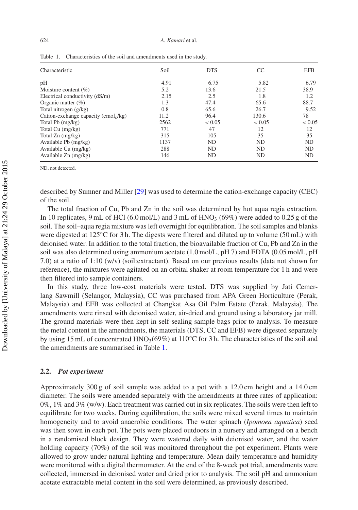| Characteristic                         | Soil | <b>DTS</b> | <sub>CC</sub> | <b>EFB</b> |
|----------------------------------------|------|------------|---------------|------------|
| pH                                     | 4.91 | 6.75       | 5.82          | 6.79       |
| Moisture content $(\% )$               | 5.2  | 13.6       | 21.5          | 38.9       |
| Electrical conductivity (dS/m)         | 2.15 | 2.5        | 1.8           | 1.2        |
| Organic matter $(\%)$                  | 1.3  | 47.4       | 65.6          | 88.7       |
| Total nitrogen (g/kg)                  | 0.8  | 65.6       | 26.7          | 9.52       |
| Cation-exchange capacity $(cmol_c/kg)$ | 11.2 | 96.4       | 130.6         | 78         |
| Total Pb (mg/kg)                       | 2562 | < 0.05     | < 0.05        | < 0.05     |
| Total Cu (mg/kg)                       | 771  | 47         | 12            | 12         |
| Total $Zn$ (mg/kg)                     | 315  | 105        | 35            | 35         |
| Available Pb (mg/kg)                   | 1137 | ND         | <b>ND</b>     | <b>ND</b>  |
| Available Cu (mg/kg)                   | 288  | ND         | ND            | <b>ND</b>  |
| Available $Zn$ (mg/kg)                 | 146  | ND         | ND            | ND         |

<span id="page-3-0"></span>Table 1. Characteristics of the soil and amendments used in the study.

ND, not detected.

described by Sumner and Miller [\[29\]](#page-13-26) was used to determine the cation-exchange capacity (CEC) of the soil.

The total fraction of Cu, Pb and Zn in the soil was determined by hot aqua regia extraction. In 10 replicates, 9 mL of HCl (6.0 mol/L) and 3 mL of HNO<sub>3</sub> (69%) were added to 0.25 g of the soil. The soil–aqua regia mixture was left overnight for equilibration. The soil samples and blanks were digested at 125°C for 3 h. The digests were filtered and diluted up to volume (50 mL) with deionised water. In addition to the total fraction, the bioavailable fraction of Cu, Pb and Zn in the soil was also determined using ammonium acetate (1.0 mol/L, pH 7) and EDTA (0.05 mol/L, pH 7.0) at a ratio of 1:10 (w/v) (soil:extractant). Based on our previous results (data not shown for reference), the mixtures were agitated on an orbital shaker at room temperature for 1 h and were then filtered into sample containers.

In this study, three low-cost materials were tested. DTS was supplied by Jati Cemerlang Sawmill (Selangor, Malaysia), CC was purchased from APA Green Horticulture (Perak, Malaysia) and EFB was collected at Changkat Asa Oil Palm Estate (Perak, Malaysia). The amendments were rinsed with deionised water, air-dried and ground using a laboratory jar mill. The ground materials were then kept in self-sealing sample bags prior to analysis. To measure the metal content in the amendments, the materials (DTS, CC and EFB) were digested separately by using 15 mL of concentrated HNO<sub>3</sub>(69%) at 110°C for 3 h. The characteristics of the soil and the amendments are summarised in Table [1.](#page-3-0)

# **2.2.** *Pot experiment*

Approximately 300 g of soil sample was added to a pot with a 12.0 cm height and a 14.0 cm diameter. The soils were amended separately with the amendments at three rates of application:  $0\%$ ,  $1\%$  and  $3\%$  (w/w). Each treatment was carried out in six replicates. The soils were then left to equilibrate for two weeks. During equilibration, the soils were mixed several times to maintain homogeneity and to avoid anaerobic conditions. The water spinach (*Ipomoea aquatica*) seed was then sown in each pot. The pots were placed outdoors in a nursery and arranged on a bench in a randomised block design. They were watered daily with deionised water, and the water holding capacity (70%) of the soil was monitored throughout the pot experiment. Plants were allowed to grow under natural lighting and temperature. Mean daily temperature and humidity were monitored with a digital thermometer. At the end of the 8-week pot trial, amendments were collected, immersed in deionised water and dried prior to analysis. The soil pH and ammonium acetate extractable metal content in the soil were determined, as previously described.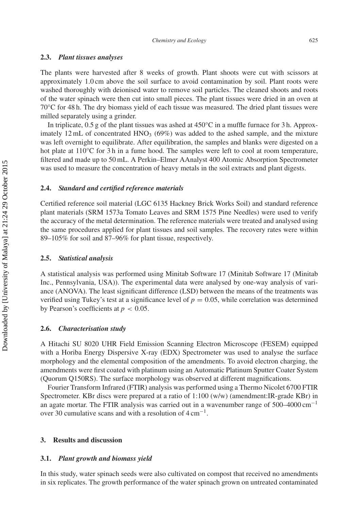# **2.3.** *Plant tissues analyses*

The plants were harvested after 8 weeks of growth. Plant shoots were cut with scissors at approximately 1.0 cm above the soil surface to avoid contamination by soil. Plant roots were washed thoroughly with deionised water to remove soil particles. The cleaned shoots and roots of the water spinach were then cut into small pieces. The plant tissues were dried in an oven at 70°C for 48 h. The dry biomass yield of each tissue was measured. The dried plant tissues were milled separately using a grinder.

In triplicate,  $0.5$  g of the plant tissues was ashed at  $450^{\circ}$ C in a muffle furnace for 3 h. Approximately 12 mL of concentrated  $HNO<sub>3</sub>$  (69%) was added to the ashed sample, and the mixture was left overnight to equilibrate. After equilibration, the samples and blanks were digested on a hot plate at  $110^{\circ}$ C for 3 h in a fume hood. The samples were left to cool at room temperature, filtered and made up to 50 mL. A Perkin–Elmer AAnalyst 400 Atomic Absorption Spectrometer was used to measure the concentration of heavy metals in the soil extracts and plant digests.

# **2.4.** *Standard and certified reference materials*

Certified reference soil material (LGC 6135 Hackney Brick Works Soil) and standard reference plant materials (SRM 1573a Tomato Leaves and SRM 1575 Pine Needles) were used to verify the accuracy of the metal determination. The reference materials were treated and analysed using the same procedures applied for plant tissues and soil samples. The recovery rates were within 89–105% for soil and 87–96% for plant tissue, respectively.

# **2.5.** *Statistical analysis*

A statistical analysis was performed using Minitab Software 17 (Minitab Software 17 (Minitab Inc., Pennsylvania, USA)). The experimental data were analysed by one-way analysis of variance (ANOVA). The least significant difference (LSD) between the means of the treatments was verified using Tukey's test at a significance level of  $p = 0.05$ , while correlation was determined by Pearson's coefficients at  $p < 0.05$ .

### **2.6.** *Characterisation study*

A Hitachi SU 8020 UHR Field Emission Scanning Electron Microscope (FESEM) equipped with a Horiba Energy Dispersive X-ray (EDX) Spectrometer was used to analyse the surface morphology and the elemental composition of the amendments. To avoid electron charging, the amendments were first coated with platinum using an Automatic Platinum Sputter Coater System (Quorum Q150RS). The surface morphology was observed at different magnifications.

Fourier Transform Infrared (FTIR) analysis was performed using a Thermo Nicolet 6700 FTIR Spectrometer. KBr discs were prepared at a ratio of 1:100 (w/w) (amendment:IR-grade KBr) in an agate mortar. The FTIR analysis was carried out in a wavenumber range of  $500-4000 \text{ cm}^{-1}$ over 30 cumulative scans and with a resolution of  $4 \text{ cm}^{-1}$ .

#### **3. Results and discussion**

#### **3.1.** *Plant growth and biomass yield*

In this study, water spinach seeds were also cultivated on compost that received no amendments in six replicates. The growth performance of the water spinach grown on untreated contaminated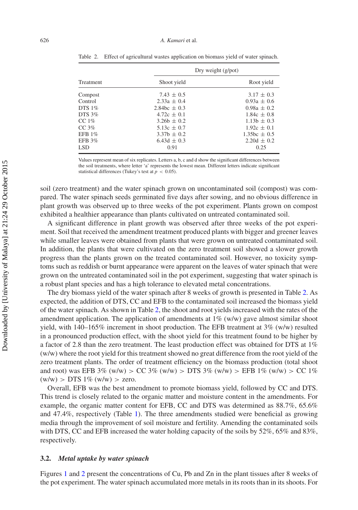|                  | Dry weight $(g$ /pot) |                  |  |
|------------------|-----------------------|------------------|--|
| <b>Treatment</b> | Shoot yield           | Root yield       |  |
| Compost          | $7.43 \pm 0.5$        | $3.17 \pm 0.3$   |  |
| Control          | $2.33a + 0.4$         | $0.93a + 0.6$    |  |
| DTS $1\%$        | 2.84bc $\pm$ 0.3      | $0.98a + 0.2$    |  |
| DTS 3%           | $4.72c + 0.1$         | $1.84c \pm 0.8$  |  |
| CC $1\%$         | $3.26b + 0.2$         | $1.13b \pm 0.3$  |  |
| CC <sub>3%</sub> | $5.13c + 0.7$         | $1.92c \pm 0.1$  |  |
| EFB $1\%$        | $3.37h + 0.2$         | $1.35bc \pm 0.5$ |  |
| EFB 3%           | 6.43d $\pm$ 0.3       | $2.20d + 0.2$    |  |
| LSD <sub>1</sub> | 0.91                  | 0.25             |  |

<span id="page-5-0"></span>Table 2. Effect of agricultural wastes application on biomass yield of water spinach.

Values represent mean of six replicates. Letters a, b, c and d show the significant differences between the soil treatments, where letter 'a' represents the lowest mean. Different letters indicate significant statistical differences (Tukey's test at  $p < 0.05$ ).

soil (zero treatment) and the water spinach grown on uncontaminated soil (compost) was compared. The water spinach seeds germinated five days after sowing, and no obvious difference in plant growth was observed up to three weeks of the pot experiment. Plants grown on compost exhibited a healthier appearance than plants cultivated on untreated contaminated soil.

A significant difference in plant growth was observed after three weeks of the pot experiment. Soil that received the amendment treatment produced plants with bigger and greener leaves while smaller leaves were obtained from plants that were grown on untreated contaminated soil. In addition, the plants that were cultivated on the zero treatment soil showed a slower growth progress than the plants grown on the treated contaminated soil. However, no toxicity symptoms such as reddish or burnt appearance were apparent on the leaves of water spinach that were grown on the untreated contaminated soil in the pot experiment, suggesting that water spinach is a robust plant species and has a high tolerance to elevated metal concentrations.

The dry biomass yield of the water spinach after 8 weeks of growth is presented in Table [2.](#page-5-0) As expected, the addition of DTS, CC and EFB to the contaminated soil increased the biomass yield of the water spinach. As shown in Table [2,](#page-5-0) the shoot and root yields increased with the rates of the amendment application. The application of amendments at  $1\%$  (w/w) gave almost similar shoot yield, with  $140-165\%$  increment in shoot production. The EFB treatment at  $3\%$  (w/w) resulted in a pronounced production effect, with the shoot yield for this treatment found to be higher by a factor of 2.8 than the zero treatment. The least production effect was obtained for DTS at 1% (w/w) where the root yield for this treatment showed no great difference from the root yield of the zero treatment plants. The order of treatment efficiency on the biomass production (total shoot and root) was EFB 3% (w/w) *>* CC 3% (w/w) *>* DTS 3% (w/w) *>* EFB 1% (w/w) *>* CC 1%  $(w/w)$  > DTS 1%  $(w/w)$  > zero.

Overall, EFB was the best amendment to promote biomass yield, followed by CC and DTS. This trend is closely related to the organic matter and moisture content in the amendments. For example, the organic matter content for EFB, CC and DTS was determined as 88.7%, 65.6% and 47.4%, respectively (Table [1\)](#page-3-0). The three amendments studied were beneficial as growing media through the improvement of soil moisture and fertility. Amending the contaminated soils with DTS, CC and EFB increased the water holding capacity of the soils by 52%, 65% and 83%, respectively.

# **3.2.** *Metal uptake by water spinach*

Figures [1](#page-6-0) and [2](#page-7-0) present the concentrations of Cu, Pb and Zn in the plant tissues after 8 weeks of the pot experiment. The water spinach accumulated more metals in its roots than in its shoots. For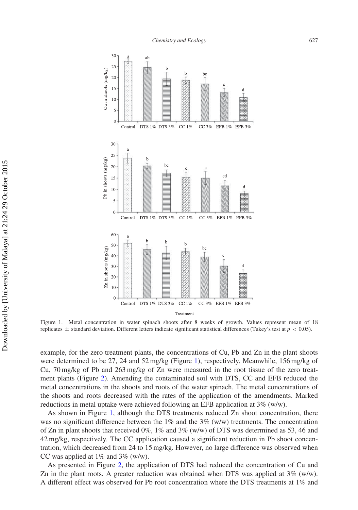<span id="page-6-0"></span>

Figure 1. Metal concentration in water spinach shoots after 8 weeks of growth. Values represent mean of 18 replicates  $\pm$  standard deviation. Different letters indicate significant statistical differences (Tukey's test at  $p < 0.05$ ).

example, for the zero treatment plants, the concentrations of Cu, Pb and Zn in the plant shoots were determined to be 27, 24 and 52 mg/kg (Figure [1\)](#page-6-0), respectively. Meanwhile, 156 mg/kg of Cu, 70 mg/kg of Pb and 263 mg/kg of Zn were measured in the root tissue of the zero treatment plants (Figure [2\)](#page-7-0). Amending the contaminated soil with DTS, CC and EFB reduced the metal concentrations in the shoots and roots of the water spinach. The metal concentrations of the shoots and roots decreased with the rates of the application of the amendments. Marked reductions in metal uptake were achieved following an EFB application at 3% (w/w).

As shown in Figure [1,](#page-6-0) although the DTS treatments reduced Zn shoot concentration, there was no significant difference between the  $1\%$  and the  $3\%$  (w/w) treatments. The concentration of Zn in plant shoots that received  $0\%$ ,  $1\%$  and  $3\%$  (w/w) of DTS was determined as 53, 46 and 42 mg/kg, respectively. The CC application caused a significant reduction in Pb shoot concentration, which decreased from 24 to 15 mg/kg. However, no large difference was observed when CC was applied at  $1\%$  and  $3\%$  (w/w).

As presented in Figure [2,](#page-7-0) the application of DTS had reduced the concentration of Cu and Zn in the plant roots. A greater reduction was obtained when DTS was applied at 3% (w/w). A different effect was observed for Pb root concentration where the DTS treatments at 1% and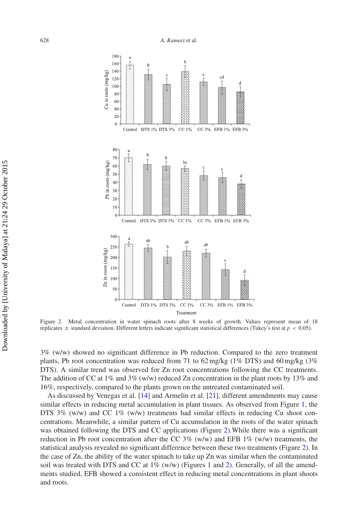<span id="page-7-0"></span>

Figure 2. Metal concentration in water spinach roots after 8 weeks of growth. Values represent mean of 18 replicates  $\pm$  standard deviation. Different letters indicate significant statistical differences (Tukey's test at  $p < 0.05$ ).

3% (w/w) showed no significant difference in Pb reduction. Compared to the zero treatment plants, Pb root concentration was reduced from 71 to 62 mg/kg (1% DTS) and 60 mg/kg (3% DTS). A similar trend was observed for Zn root concentrations following the CC treatments. The addition of CC at  $1\%$  and  $3\%$  (w/w) reduced Zn concentration in the plant roots by  $13\%$  and 16%, respectively, compared to the plants grown on the untreated contaminated soil.

As discussed by Venegas et al. [\[14\]](#page-13-11) and Armelin et al. [\[21\]](#page-13-18), different amendments may cause similar effects in reducing metal accumulation in plant tissues. As observed from Figure [1,](#page-6-0) the DTS 3% (w/w) and CC 1% (w/w) treatments had similar effects in reducing Cu shoot concentrations. Meanwhile, a similar pattern of Cu accumulation in the roots of the water spinach was obtained following the DTS and CC applications (Figure [2\)](#page-7-0).While there was a significant reduction in Pb root concentration after the CC 3% (w/w) and EFB 1% (w/w) treatments, the statistical analysis revealed no significant difference between these two treatments (Figure [2\)](#page-7-0). In the case of Zn, the ability of the water spinach to take up Zn was similar when the contaminated soil was treated with DTS and CC at  $1\%$  $1\%$  (w/w) (Figures 1 and [2\)](#page-7-0). Generally, of all the amendments studied, EFB showed a consistent effect in reducing metal concentrations in plant shoots and roots.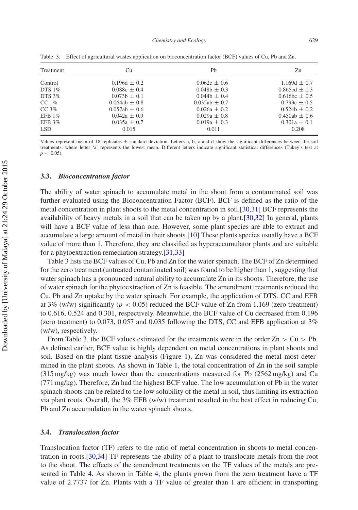| Treatment | Cu               | Ph              | Zn                              |
|-----------|------------------|-----------------|---------------------------------|
| Control   | $0.196d + 0.2$   | $0.062c + 0.6$  | $1.169d + 0.7$                  |
| DTS $1\%$ | $0.088c + 0.4$   | $0.048h + 0.3$  | $0.865cd + 0.3$                 |
| DTS $3\%$ | $0.073b \pm 0.1$ | $0.044b + 0.4$  | $0.616$ <sub>bc</sub> $\pm 0.5$ |
| CC $1\%$  | $0.064ab + 0.8$  | $0.035ab + 0.7$ | $0.793c + 0.5$                  |
| CC $3\%$  | $0.057ab + 0.6$  | $0.026a + 0.2$  | $0.524b + 0.2$                  |
| EFB $1\%$ | $0.042a + 0.9$   | $0.029a + 0.8$  | $0.450ab + 0.6$                 |
| EFB $3\%$ | $0.035a + 0.7$   | $0.019a + 0.3$  | $0.301a \pm 0.1$                |
| LSD.      | 0.015            | 0.011           | 0.208                           |

<span id="page-8-0"></span>Table 3. Effect of agricultural wastes application on bioconcentration factor (BCF) values of Cu, Pb and Zn.

Values represent mean of 18 replicates  $\pm$  standard deviation. Letters a, b, c and d show the significant differences between the soil treatments, where letter 'a' represents the lowest mean. Different letters indicate significant statistical differences (Tukey's test at  $p < 0.05$ 

# **3.3.** *Bioconcentration factor*

The ability of water spinach to accumulate metal in the shoot from a contaminated soil was further evaluated using the Bioconcentration Factor (BCF). BCF is defined as the ratio of the metal concentration in plant shoots to the metal concentration in soil.[\[30](#page-13-27)[,31](#page-13-28)] BCF represents the availability of heavy metals in a soil that can be taken up by a plant.[\[30](#page-13-27)[,32\]](#page-13-29) In general, plants will have a BCF value of less than one. However, some plant species are able to extract and accumulate a large amount of metal in their shoots.[\[10](#page-13-7)] These plants species usually have a BCF value of more than 1. Therefore, they are classified as hyperaccumulator plants and are suitable for a phytoextraction remediation strategy.[\[31](#page-13-28)[,33\]](#page-13-30)

Table [3](#page-8-0) lists the BCF values of Cu, Pb and Zn for the water spinach. The BCF of Zn determined for the zero treatment (untreated contaminated soil) was found to be higher than 1, suggesting that water spinach has a pronounced natural ability to accumulate Zn in its shoots. Therefore, the use of water spinach for the phytoextraction of Zn is feasible. The amendment treatments reduced the Cu, Pb and Zn uptake by the water spinach. For example, the application of DTS, CC and EFB at 3% (w/w) significantly ( $p < 0.05$ ) reduced the BCF value of Zn from 1.169 (zero treatment) to 0.616, 0.524 and 0.301, respectively. Meanwhile, the BCF value of Cu decreased from 0.196 (zero treatment) to 0.073, 0.057 and 0.035 following the DTS, CC and EFB application at 3% (w/w), respectively.

From Table [3,](#page-8-0) the BCF values estimated for the treatments were in the order  $Zn > Cu > Pb$ . As defined earlier, BCF value is highly dependent on metal concentrations in plant shoots and soil. Based on the plant tissue analysis (Figure [1\)](#page-6-0), Zn was considered the metal most determined in the plant shoots. As shown in Table [1,](#page-3-0) the total concentration of Zn in the soil sample  $(315 \text{ mg/kg})$  was much lower than the concentrations measured for Pb  $(2562 \text{ mg/kg})$  and Cu (771 mg/kg). Therefore, Zn had the highest BCF value. The low accumulation of Pb in the water spinach shoots can be related to the low solubility of the metal in soil, thus limiting its extraction via plant roots. Overall, the 3% EFB (w/w) treatment resulted in the best effect in reducing Cu, Pb and Zn accumulation in the water spinach shoots.

### **3.4.** *Translocation factor*

Translocation factor (TF) refers to the ratio of metal concentration in shoots to metal concentration in roots.[\[30](#page-13-27)[,34](#page-13-31)] TF represents the ability of a plant to translocate metals from the root to the shoot. The effects of the amendment treatments on the TF values of the metals are presented in Table [4.](#page-9-0) As shown in Table [4,](#page-9-0) the plants grown from the zero treatment have a TF value of 2.7737 for Zn. Plants with a TF value of greater than 1 are efficient in transporting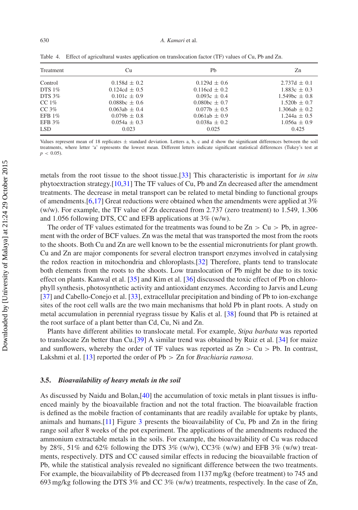| Treatment  | Cu                | Ph                | Zn                   |
|------------|-------------------|-------------------|----------------------|
| Control    | $0.158d \pm 0.2$  | $0.129d \pm 0.6$  | $2.737d \pm 0.1$     |
| DTS $1\%$  | $0.124cd \pm 0.5$ | $0.116cd \pm 0.2$ | $1.883c \pm 0.3$     |
| DTS $3\%$  | $0.101c + 0.9$    | $0.093c + 0.4$    | $1.549$ bc $\pm 0.8$ |
| CC $1\%$   | $0.088bc + 0.6$   | $0.080bc + 0.7$   | $1.520h + 0.7$       |
| CC $3\%$   | $0.063ab + 0.4$   | $0.077b \pm 0.5$  | $1.306ab + 0.2$      |
| EFB $1\%$  | $0.079b + 0.8$    | $0.061ab \pm 0.9$ | $1.244a + 0.5$       |
| EFB 3%     | $0.054a + 0.3$    | $0.038a + 0.2$    | $1.056a \pm 0.9$     |
| <b>LSD</b> | 0.023             | 0.025             | 0.425                |

<span id="page-9-0"></span>Table 4. Effect of agricultural wastes application on translocation factor (TF) values of Cu, Pb and Zn.

Values represent mean of 18 replicates  $\pm$  standard deviation. Letters a, b, c and d show the significant differences between the soil treatments, where letter 'a' represents the lowest mean. Different letters indicate significant statistical differences (Tukey's test at  $p < 0.05$ 

metals from the root tissue to the shoot tissue.[\[33](#page-13-30)] This characteristic is important for *in situ* phytoextraction strategy.[\[10](#page-13-7)[,31](#page-13-28)] The TF values of Cu, Pb and Zn decreased after the amendment treatments. The decrease in metal transport can be related to metal binding to functional groups of amendments.[\[6](#page-13-4)[,17\]](#page-13-14) Great reductions were obtained when the amendments were applied at 3% (w/w). For example, the TF value of Zn decreased from 2.737 (zero treatment) to 1.549, 1.306 and 1.056 following DTS, CC and EFB applications at 3% (w/w).

The order of TF values estimated for the treatments was found to be  $Zn > Cu > Pb$ , in agreement with the order of BCF values. Zn was the metal that was transported the most from the roots to the shoots. Both Cu and Zn are well known to be the essential micronutrients for plant growth. Cu and Zn are major components for several electron transport enzymes involved in catalysing the redox reaction in mitochondria and chloroplasts.[\[32](#page-13-29)] Therefore, plants tend to translocate both elements from the roots to the shoots. Low translocation of Pb might be due to its toxic effect on plants. Kanwal et al. [\[35](#page-14-0)] and Kim et al. [\[36](#page-14-1)] discussed the toxic effect of Pb on chlorophyll synthesis, photosynthetic activity and antioxidant enzymes. According to Jarvis and Leung [\[37\]](#page-14-2) and Cabello-Conejo et al. [\[33](#page-13-30)], extracellular precipitation and binding of Pb to ion-exchange sites of the root cell walls are the two main mechanisms that hold Pb in plant roots. A study on metal accumulation in perennial ryegrass tissue by Kalis et al. [\[38](#page-14-3)] found that Pb is retained at the root surface of a plant better than Cd, Cu, Ni and Zn.

Plants have different abilities to translocate metal. For example, *Stipa barbata* was reported to translocate Zn better than Cu.[\[39\]](#page-14-4) A similar trend was obtained by Ruiz et al. [\[34\]](#page-13-31) for maize and sunflowers, whereby the order of TF values was reported as Zn *>* Cu *>* Pb. In contrast, Lakshmi et al. [\[13\]](#page-13-10) reported the order of Pb *>* Zn for *Brachiaria ramosa*.

# **3.5.** *Bioavailability of heavy metals in the soil*

As discussed by Naidu and Bolan,[\[40](#page-14-5)] the accumulation of toxic metals in plant tissues is influenced mainly by the bioavailable fraction and not the total fraction. The bioavailable fraction is defined as the mobile fraction of contaminants that are readily available for uptake by plants, animals and humans. [\[11](#page-13-8)] Figure  $3$  presents the bioavailability of Cu, Pb and Zn in the firing range soil after 8 weeks of the pot experiment. The applications of the amendments reduced the ammonium extractable metals in the soils. For example, the bioavailability of Cu was reduced by 28%, 51% and 62% following the DTS 3% (w/w), CC3% (w/w) and EFB 3% (w/w) treatments, respectively. DTS and CC caused similar effects in reducing the bioavailable fraction of Pb, while the statistical analysis revealed no significant difference between the two treatments. For example, the bioavailability of Pb decreased from 1137 mg/kg (before treatment) to 745 and 693 mg/kg following the DTS 3% and CC 3% (w/w) treatments, respectively. In the case of Zn,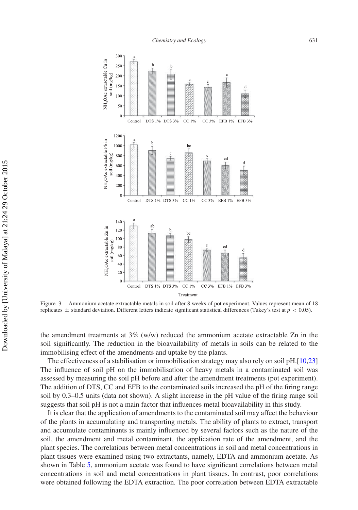<span id="page-10-0"></span>

Figure 3. Ammonium acetate extractable metals in soil after 8 weeks of pot experiment. Values represent mean of 18 replicates ± standard deviation. Different letters indicate significant statistical differences (Tukey's test at *p <* 0.05).

the amendment treatments at  $3\%$  (w/w) reduced the ammonium acetate extractable Zn in the soil significantly. The reduction in the bioavailability of metals in soils can be related to the immobilising effect of the amendments and uptake by the plants.

The effectiveness of a stabilisation or immobilisation strategy may also rely on soil pH.[\[10](#page-13-7)[,23\]](#page-13-20) The influence of soil pH on the immobilisation of heavy metals in a contaminated soil was assessed by measuring the soil pH before and after the amendment treatments (pot experiment). The addition of DTS, CC and EFB to the contaminated soils increased the pH of the firing range soil by 0.3–0.5 units (data not shown). A slight increase in the pH value of the firing range soil suggests that soil pH is not a main factor that influences metal bioavailability in this study.

It is clear that the application of amendments to the contaminated soil may affect the behaviour of the plants in accumulating and transporting metals. The ability of plants to extract, transport and accumulate contaminants is mainly influenced by several factors such as the nature of the soil, the amendment and metal contaminant, the application rate of the amendment, and the plant species. The correlations between metal concentrations in soil and metal concentrations in plant tissues were examined using two extractants, namely, EDTA and ammonium acetate. As shown in Table [5,](#page-11-0) ammonium acetate was found to have significant correlations between metal concentrations in soil and metal concentrations in plant tissues. In contrast, poor correlations were obtained following the EDTA extraction. The poor correlation between EDTA extractable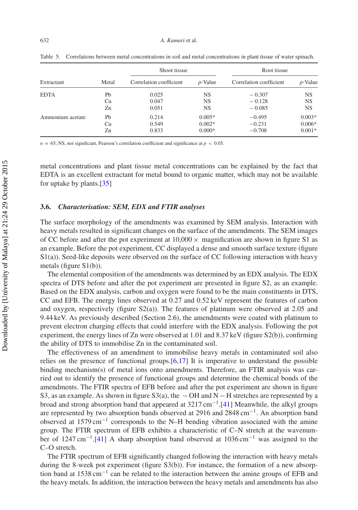| Extractant       |       | Shoot tissue            |            | Root tissue             |            |
|------------------|-------|-------------------------|------------|-------------------------|------------|
|                  | Metal | Correlation coefficient | $p$ -Value | Correlation coefficient | $p$ -Value |
| <b>EDTA</b>      | Pb    | 0.025                   | NS         | $-0.307$                | <b>NS</b>  |
|                  | Cu    | 0.047                   | NS         | $-0.128$                | <b>NS</b>  |
|                  | Zn    | 0.051                   | NS         | $-0.085$                | <b>NS</b>  |
| Ammonium acetate | Pb    | 0.214                   | $0.005*$   | $-0.495$                | $0.003*$   |
|                  | Cu    | 0.549                   | $0.002*$   | $-0.231$                | $0.006*$   |
|                  | Zn    | 0.833                   | $0.000*$   | $-0.708$                | $0.001*$   |

<span id="page-11-0"></span>Table 5. Correlations between metal concentrations in soil and metal concentrations in plant tissue of water spinach.

 $n = 65$ , NS, not significant, Pearson's correlation coefficient and significance at  $p < 0.05$ .

metal concentrations and plant tissue metal concentrations can be explained by the fact that EDTA is an excellent extractant for metal bound to organic matter, which may not be available for uptake by plants.[\[35\]](#page-14-0)

# **3.6.** *Characterisation: SEM, EDX and FTIR analyses*

The surface morphology of the amendments was examined by SEM analysis. Interaction with heavy metals resulted in significant changes on the surface of the amendments. The SEM images of CC before and after the pot experiment at  $10,000 \times$  magnification are shown in figure S1 as an example. Before the pot experiment, CC displayed a dense and smooth surface texture (figure S1(a)). Seed-like deposits were observed on the surface of CC following interaction with heavy metals (figure S1(b)).

The elemental composition of the amendments was determined by an EDX analysis. The EDX spectra of DTS before and after the pot experiment are presented in figure S2, as an example. Based on the EDX analysis, carbon and oxygen were found to be the main constituents in DTS, CC and EFB. The energy lines observed at 0.27 and 0.52 keV represent the features of carbon and oxygen, respectively (figure  $S(2(a))$ ). The features of platinum were observed at 2.05 and 9.44 keV. As previously described (Section 2.6), the amendments were coated with platinum to prevent electron charging effects that could interfere with the EDX analysis. Following the pot experiment, the energy lines of Zn were observed at 1.01 and 8.37 keV (figure S2(b)), confirming the ability of DTS to immobilise Zn in the contaminated soil.

The effectiveness of an amendment to immobilise heavy metals in contaminated soil also relies on the presence of functional groups. $[6,17]$  $[6,17]$  $[6,17]$  It is imperative to understand the possible binding mechanism(s) of metal ions onto amendments. Therefore, an FTIR analysis was carried out to identify the presence of functional groups and determine the chemical bonds of the amendments. The FTIR spectra of EFB before and after the pot experiment are shown in figure S3, as an example. As shown in figure S3(a), the  $-OH$  and N $-H$  stretches are represented by a broad and strong absorption band that appeared at  $3217 \text{ cm}^{-1}$ .[\[41](#page-14-6)] Meanwhile, the alkyl groups are represented by two absorption bands observed at 2916 and 2848 cm−1. An absorption band observed at 1579 cm−<sup>1</sup> corresponds to the N–H bending vibration associated with the amine group. The FTIR spectrum of EFB exhibits a characteristic of C–N stretch at the wavenumber of 1247 cm−1.[\[41\]](#page-14-6) A sharp absorption band observed at 1036 cm−<sup>1</sup> was assigned to the C–O stretch.

The FTIR spectrum of EFB significantly changed following the interaction with heavy metals during the 8-week pot experiment (figure S3(b)). For instance, the formation of a new absorption band at 1538 cm−<sup>1</sup> can be related to the interaction between the amine groups of EFB and the heavy metals. In addition, the interaction between the heavy metals and amendments has also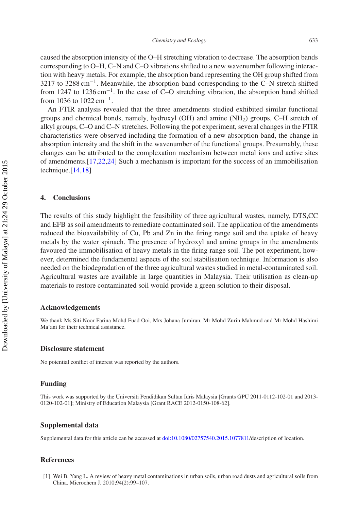caused the absorption intensity of the O–H stretching vibration to decrease. The absorption bands corresponding to O–H, C–N and C–O vibrations shifted to a new wavenumber following interaction with heavy metals. For example, the absorption band representing the OH group shifted from 3217 to 3288 cm<sup>-1</sup>. Meanwhile, the absorption band corresponding to the C–N stretch shifted from 1247 to 1236 cm−1. In the case of C–O stretching vibration, the absorption band shifted from 1036 to  $1022 \text{ cm}^{-1}$ .

An FTIR analysis revealed that the three amendments studied exhibited similar functional groups and chemical bonds, namely, hydroxyl (OH) and amine (NH2) groups, C–H stretch of alkyl groups, C–O and C–N stretches. Following the pot experiment, several changes in the FTIR characteristics were observed including the formation of a new absorption band, the change in absorption intensity and the shift in the wavenumber of the functional groups. Presumably, these changes can be attributed to the complexation mechanism between metal ions and active sites of amendments.[\[17](#page-13-14)[,22](#page-13-19)[,24\]](#page-13-21) Such a mechanism is important for the success of an immobilisation technique.<sup>[\[14](#page-13-11)[,18\]](#page-13-15)</sup>

# **4. Conclusions**

The results of this study highlight the feasibility of three agricultural wastes, namely, DTS,CC and EFB as soil amendments to remediate contaminated soil. The application of the amendments reduced the bioavailability of Cu, Pb and Zn in the firing range soil and the uptake of heavy metals by the water spinach. The presence of hydroxyl and amine groups in the amendments favoured the immobilisation of heavy metals in the firing range soil. The pot experiment, however, determined the fundamental aspects of the soil stabilisation technique. Information is also needed on the biodegradation of the three agricultural wastes studied in metal-contaminated soil. Agricultural wastes are available in large quantities in Malaysia. Their utilisation as clean-up materials to restore contaminated soil would provide a green solution to their disposal.

# **Acknowledgements**

We thank Ms Siti Noor Farina Mohd Fuad Ooi, Mrs Johana Jumiran, Mr Mohd Zurin Mahmud and Mr Mohd Hashimi Ma'ani for their technical assistance.

#### **Disclosure statement**

No potential conflict of interest was reported by the authors.

# **Funding**

This work was supported by the Universiti Pendidikan Sultan Idris Malaysia [Grants GPU 2011-0112-102-01 and 2013- 0120-102-01]; Ministry of Education Malaysia [Grant RACE 2012-0150-108-62].

# **Supplemental data**

Supplemental data for this article can be accessed at [doi:10.1080/02757540.2015.1077811/](http://dx.doi.org/10.1080/02757540.2015.1077811)description of location.

### **References**

<span id="page-12-0"></span>[1] Wei B, Yang L. A review of heavy metal contaminations in urban soils, urban road dusts and agricultural soils from China. Microchem J. 2010;94(2):99–107.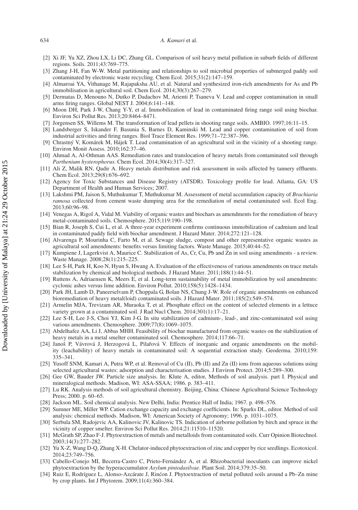#### 634 *A. Kamari* et al.

- <span id="page-13-0"></span>[2] Xi JF, Yu XZ, Zhou LX, Li DC, Zhang GL. Comparison of soil heavy metal pollution in suburb fields of different regions. Soils. 2011;43:769–775.
- <span id="page-13-1"></span>[3] Zhang J-H, Fan W-W. Metal partitioning and relationships to soil microbial properties of submerged paddy soil contaminated by electronic waste recycling. Chem Ecol. 2015;31(2):147–159.
- <span id="page-13-2"></span>[4] Almaroai YA, Vithanage M, Rajapaksha AU, et al. Natural and synthesized iron-rich amendments for As and Pb immobilisation in agricultural soil. Chem Ecol. 2014;30(3):267–279.
- <span id="page-13-3"></span>[5] Dermatas D, Menouno N, Dutko P, Dadachov M, Arienti P, Tsaneva V. Lead and copper contamination in small arms firing ranges. Global NEST J. 2004;6:141–148.
- <span id="page-13-4"></span>[6] Moon DH, Park J-W, Chang Y-Y, et al. Immobilization of lead in contaminated firing range soil using biochar. Environ Sci Pollut Res. 2013;20:8464–8471.
- <span id="page-13-5"></span>[7] Jorgensen SS, Willems M. The transformation of lead pellets in shooting range soils. AMBIO. 1997;16:11–15.
- [8] Landsberger S, Iskander F, Basunia S, Barnes D, Kaminski M. Lead and copper contamination of soil from industrial activities and firing ranges. Biol Trace Element Res. 1999;71–72:387–396.
- <span id="page-13-6"></span>[9] Chrastný V, Komárek M, Hájek T. Lead contamination of an agricultural soil in the vicinity of a shooting range. Environ Monit Assess. 2010;162:37–46.
- <span id="page-13-7"></span>[10] Ahmad A, Al-Othman AAS. Remediation rates and translocation of heavy metals from contaminated soil through *Parthenium hysterophorus*. Chem Ecol. 2014;30(4):317–327.
- <span id="page-13-8"></span>[11] Ali Z, Malik RN, Qadir A. Heavy metals distribution and risk assessment in soils affected by tannery effluents. Chem Ecol. 2013;29(8):676–692.
- <span id="page-13-9"></span>[12] Agency for Toxic Substances and Disease Registry (ATSDR). Toxicology profile for lead. Atlanta, GA: US Department of Health and Human Services; 2007.
- <span id="page-13-10"></span>[13] Lakshmi PM, Jaison S, Muthukumar T, Muthukumar M. Assessment of metal accumulation capacity of *Brachiaria ramosa* collected from cement waste dumping area for the remediation of metal contaminated soil. Ecol Eng. 2013;60:96–98.
- <span id="page-13-11"></span>[14] Venegas A, Rigol A, Vidal M. Viability of organic wastes and biochars as amendments for the remediation of heavy metal-contaminated soils. Chemosphere. 2015;119:190–198.
- <span id="page-13-12"></span>[15] Bian R, Joseph S, Cui L, et al. A three-year experiment confirms continuous immobilization of cadmium and lead in contaminated paddy field with biochar amendment. J Hazard Mater. 2014;272:121–128.
- <span id="page-13-13"></span>[16] Alvarenga P, Mourinha C, Farto M, et al. Sewage sludge, compost and other representative organic wastes as agricultural soil amendments: benefits versus limiting factors. Waste Manage. 2015;40:44–52.
- <span id="page-13-14"></span>[17] Kumpiene J, Lagerkvist A, Maurice C. Stabilization of As, Cr, Cu, Pb and Zn in soil using amendments - a review. Waste Manage. 2008;28(1):215–225.
- <span id="page-13-15"></span>[18] Lee S-H, Park H, Koo N, Hyun S, Hwang A. Evaluation of the effectiveness of various amendments on trace metals stabilization by chemical and biological methods. J Hazard Mater. 2011;188(1):44–51.
- <span id="page-13-16"></span>[19] Ruttens A, Adriaensen K, Meers E, et al. Long-term sustainability of metal immobilization by soil amendments: cyclonic ashes versus lime addition. Environ Pollut. 2010;158(5):1428–1434.
- <span id="page-13-17"></span>[20] Park JH, Lamb D, Paneerselvam P, Choppala G, Bolan NS, Chung J-W. Role of organic amendments on enhanced bioremediation of heavy metal(loid) contaminated soils. J Hazard Mater. 2011;185(2):549–574.
- <span id="page-13-18"></span>[21] Armelin MJA, Trevizam AR, Muraoka T, et al. Phosphate effect on the content of selected elements in a lettuce variety grown at a contaminated soil. J Rad Nucl Chem. 2014;301(1):17–21.
- <span id="page-13-19"></span>[22] Lee S-H, Lee J-S, Choi YJ, Kim J-G. In situ stabilization of cadmium-, lead-, and zinc-contaminated soil using various amendments. Chemosphere. 2009;77(8):1069–1075.
- <span id="page-13-20"></span>[23] Abdelhafez AA, Li J, Abbas MHH. Feasibility of biochar manufactured from organic wastes on the stabilization of heavy metals in a metal smelter contaminated soil. Chemosphere. 2014;117:66–71.
- <span id="page-13-21"></span>[24] Janoš P, Vávrová J, Herzogová L, Pilařová V. Effects of inorganic and organic amendments on the mobility (leachability) of heavy metals in contaminated soil: A sequential extraction study. Geoderma. 2010;159: 335–341.
- <span id="page-13-22"></span>[25] Yusoff SNM, Kamari A, Putra WP, et al. Removal of Cu (II), Pb (II) and Zn (II) ions from aqueous solutions using selected agricultural wastes: adsorption and characterisation studies. J Environ Protect. 2014;5:289–300.
- <span id="page-13-23"></span>[26] Gee GW, Bauder JW. Particle size analysis. In: Klute A, editor, Methods of soil analysis. part I. Physical and mineralogical methods. Madison, WI: ASA-SSAA; 1986. p. 383–411.
- <span id="page-13-24"></span>[27] Lu RK. Analysis methods of soil agricultural chemistry. Beijing, China: Chinese Agricultural Science Technology Press; 2000. p. 60–65.
- <span id="page-13-25"></span>[28] Jackson ML. Soil chemical analysis. New Delhi, India: Prentice Hall of India; 1967. p. 498–576.
- <span id="page-13-26"></span>[29] Sumner ME, Miller WP. Cation exchange capacity and exchange coefficients. In: Sparks DL, editor. Method of soil analysis: chemical methods. Madison, WI: American Society of Agronomy; 1996. p. 1031–1075.
- <span id="page-13-27"></span>[30] Serbula SM, Radojevic AA, Kalinovic JV, Kalinovic TS. Indication of airborne pollution by birch and spruce in the vicinity of copper smelter. Environ Sci Pollut Res. 2014;21:11510–11520.
- <span id="page-13-28"></span>[31] McGrath SP, Zhao F-J. Phytoextraction of metals and metalloids from contaminated soils. Curr Opinion Biotechnol. 2003;14(3):277–282.
- <span id="page-13-29"></span>[32] Yu X-Z, Wang D-Q, Zhang X-H. Chelator-induced phytoextraction of zinc and copper by rice seedlings. Ecotoxicol. 2014;23:749–756.
- <span id="page-13-30"></span>[33] Cabello-Conejo MI, Becerra-Castro C, Prieto-Fernández A, et al. Rhizobacterial inoculants can improve nickel phytoextraction by the hyperaccumulator *Asylum pintodasilvae*. Plant Soil. 2014;379:35–50.
- <span id="page-13-31"></span>[34] Ruiz E, Rodríguez L, Alonso-Azcárate J, Rincon J. Phytoextraction of metal polluted soils around a Pb–Zn mine ´ by crop plants. Int J Phytorem. 2009;11(4):360–384.